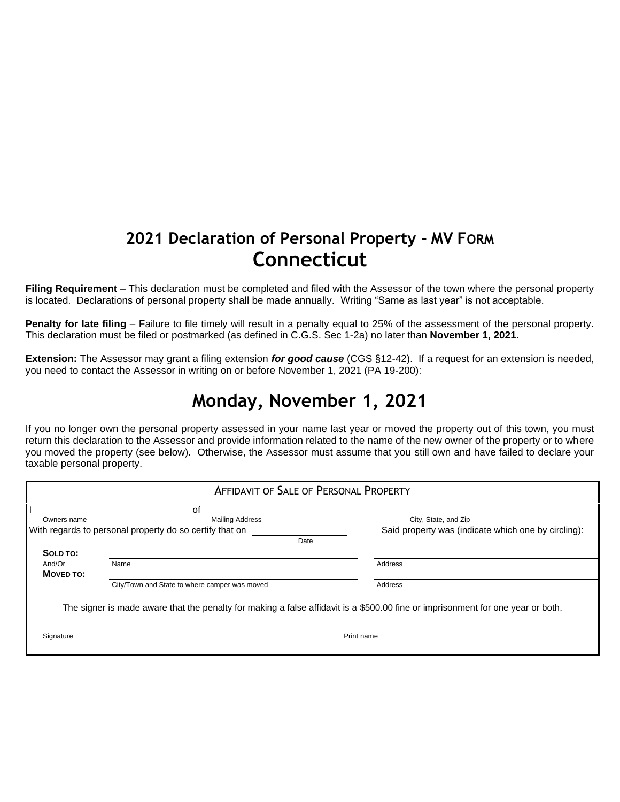## **2021 Declaration of Personal Property - MV FORM Connecticut**

**Filing Requirement** – This declaration must be completed and filed with the Assessor of the town where the personal property is located. Declarations of personal property shall be made annually. Writing "Same as last year" is not acceptable.

**Penalty for late filing** – Failure to file timely will result in a penalty equal to 25% of the assessment of the personal property. This declaration must be filed or postmarked (as defined in C.G.S. Sec 1-2a) no later than **November 1, 2021**.

**Extension:** The Assessor may grant a filing extension *for good cause* (CGS §12-42). If a request for an extension is needed, you need to contact the Assessor in writing on or before November 1, 2021 (PA 19-200):

## **Monday, November 1, 2021**

If you no longer own the personal property assessed in your name last year or moved the property out of this town, you must return this declaration to the Assessor and provide information related to the name of the new owner of the property or to where you moved the property (see below). Otherwise, the Assessor must assume that you still own and have failed to declare your taxable personal property.

| <b>AFFIDAVIT OF SALE OF PERSONAL PROPERTY</b>           |                                               |                                                                                                                                 |  |  |  |  |
|---------------------------------------------------------|-----------------------------------------------|---------------------------------------------------------------------------------------------------------------------------------|--|--|--|--|
|                                                         | οf                                            |                                                                                                                                 |  |  |  |  |
| Owners name                                             | <b>Mailing Address</b>                        | City, State, and Zip                                                                                                            |  |  |  |  |
| With regards to personal property do so certify that on |                                               | Said property was (indicate which one by circling):                                                                             |  |  |  |  |
|                                                         | Date                                          |                                                                                                                                 |  |  |  |  |
| SOLD TO:                                                |                                               |                                                                                                                                 |  |  |  |  |
| And/Or                                                  | Name                                          | Address                                                                                                                         |  |  |  |  |
| MOVED TO:                                               |                                               |                                                                                                                                 |  |  |  |  |
|                                                         | City/Town and State to where camper was moved | Address                                                                                                                         |  |  |  |  |
|                                                         |                                               | The signer is made aware that the penalty for making a false affidavit is a \$500.00 fine or imprisonment for one year or both. |  |  |  |  |
| Signature                                               |                                               | Print name                                                                                                                      |  |  |  |  |